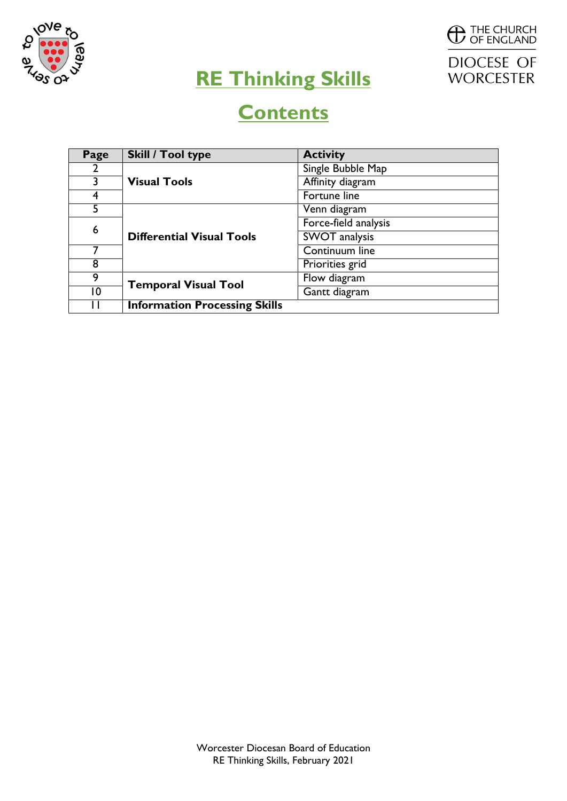



# **RE Thinking Skills**

# **Contents**

| Page           | <b>Skill / Tool type</b>             | <b>Activity</b>      |  |  |  |  |
|----------------|--------------------------------------|----------------------|--|--|--|--|
| 2              |                                      | Single Bubble Map    |  |  |  |  |
| 3              | <b>Visual Tools</b>                  | Affinity diagram     |  |  |  |  |
| 4              |                                      | Fortune line         |  |  |  |  |
| 5              |                                      | Venn diagram         |  |  |  |  |
| 6              |                                      | Force-field analysis |  |  |  |  |
|                | <b>Differential Visual Tools</b>     | SWOT analysis        |  |  |  |  |
|                |                                      | Continuum line       |  |  |  |  |
| 8              |                                      | Priorities grid      |  |  |  |  |
| 9              | <b>Temporal Visual Tool</b>          | Flow diagram         |  |  |  |  |
| $\overline{0}$ |                                      | Gantt diagram        |  |  |  |  |
| Н              | <b>Information Processing Skills</b> |                      |  |  |  |  |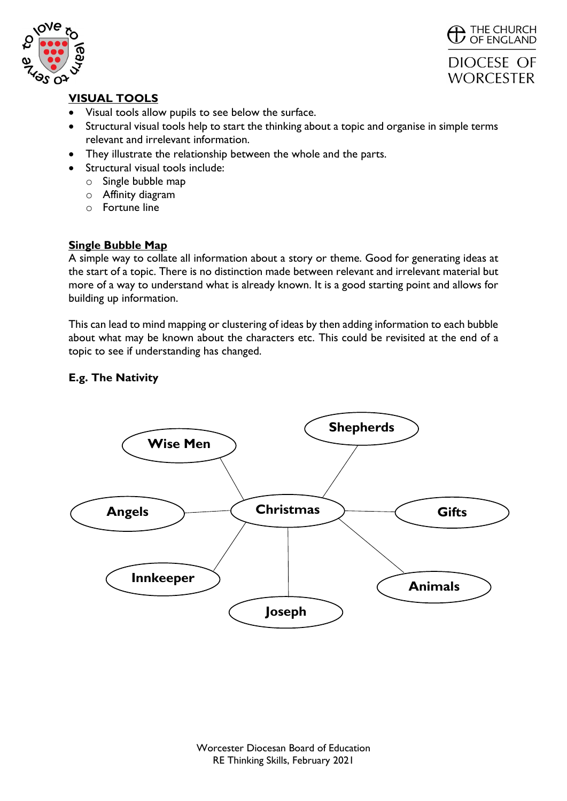



# DIOCESE OF **WORCESTER**

# **VISUAL TOOLS**

- Visual tools allow pupils to see below the surface.
- Structural visual tools help to start the thinking about a topic and organise in simple terms relevant and irrelevant information.
- They illustrate the relationship between the whole and the parts.
- Structural visual tools include:
	- o Single bubble map
	- o Affinity diagram
	- $\circ$  Fortune line

### **Single Bubble Map**

A simple way to collate all information about a story or theme. Good for generating ideas at the start of a topic. There is no distinction made between relevant and irrelevant material but more of a way to understand what is already known. It is a good starting point and allows for building up information.

This can lead to mind mapping or clustering of ideas by then adding information to each bubble about what may be known about the characters etc. This could be revisited at the end of a topic to see if understanding has changed.

# **E.g. The Nativity**

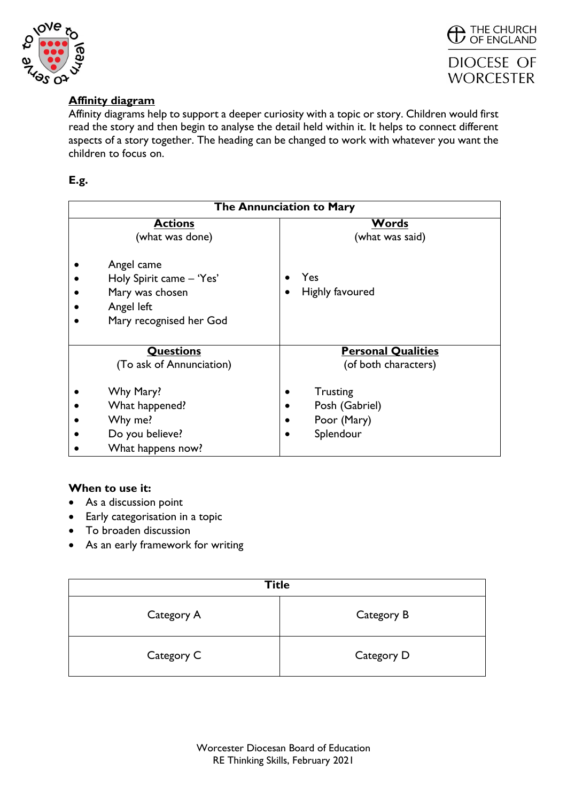



# **Affinity diagram**

Affinity diagrams help to support a deeper curiosity with a topic or story. Children would first read the story and then begin to analyse the detail held within it. It helps to connect different aspects of a story together. The heading can be changed to work with whatever you want the children to focus on.

# **E.g.**

| The Annunciation to Mary                                                                           |                                                               |  |  |  |  |  |
|----------------------------------------------------------------------------------------------------|---------------------------------------------------------------|--|--|--|--|--|
| <b>Actions</b><br>(what was done)                                                                  | <b>Words</b><br>(what was said)                               |  |  |  |  |  |
| Angel came<br>Holy Spirit came - 'Yes'<br>Mary was chosen<br>Angel left<br>Mary recognised her God | Yes<br>Highly favoured<br>$\bullet$                           |  |  |  |  |  |
| <b>Questions</b><br>(To ask of Annunciation)                                                       | <b>Personal Qualities</b><br>(of both characters)             |  |  |  |  |  |
| Why Mary?<br>What happened?<br>Why me?<br>Do you believe?<br>What happens now?                     | <b>Trusting</b><br>Posh (Gabriel)<br>Poor (Mary)<br>Splendour |  |  |  |  |  |

#### **When to use it:**

- As a discussion point
- Early categorisation in a topic
- To broaden discussion
- As an early framework for writing

| <b>Title</b> |            |  |  |  |  |
|--------------|------------|--|--|--|--|
| Category A   | Category B |  |  |  |  |
| Category C   | Category D |  |  |  |  |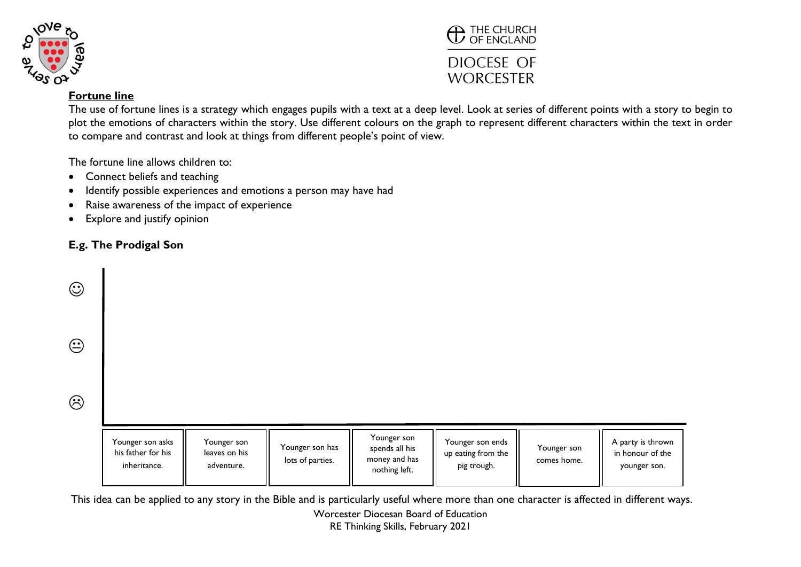



#### **Fortune line**

The use of fortune lines is a strategy which engages pupils with a text at a deep level. Look at series of different points with a story to begin to plot the emotions of characters within the story. Use different colours on the graph to represent different characters within the text in order to compare and contrast and look at things from different people's point of view.

The fortune line allows children to:

- Connect beliefs and teaching
- Identify possible experiences and emotions a person may have had
- Raise awareness of the impact of experience
- Explore and justify opinion

# **E.g. The Prodigal Son**

| $\odot$    |                                                        |                                            |                                     |                                                                 |                                                       |                            |                                                       |
|------------|--------------------------------------------------------|--------------------------------------------|-------------------------------------|-----------------------------------------------------------------|-------------------------------------------------------|----------------------------|-------------------------------------------------------|
| $\bigodot$ |                                                        |                                            |                                     |                                                                 |                                                       |                            |                                                       |
| $\odot$    |                                                        |                                            |                                     |                                                                 |                                                       |                            |                                                       |
|            | Younger son asks<br>his father for his<br>inheritance. | Younger son<br>leaves on his<br>adventure. | Younger son has<br>lots of parties. | Younger son<br>spends all his<br>money and has<br>nothing left. | Younger son ends<br>up eating from the<br>pig trough. | Younger son<br>comes home. | A party is thrown<br>in honour of the<br>younger son. |

Worcester Diocesan Board of Education This idea can be applied to any story in the Bible and is particularly useful where more than one character is affected in different ways.

RE Thinking Skills, February 2021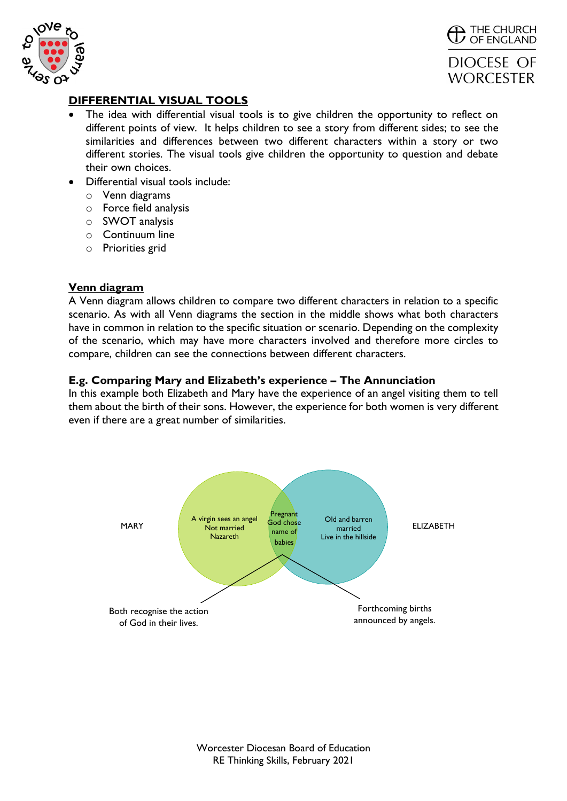



#### **DIFFERENTIAL VISUAL TOOLS**

- The idea with differential visual tools is to give children the opportunity to reflect on different points of view. It helps children to see a story from different sides; to see the similarities and differences between two different characters within a story or two different stories. The visual tools give children the opportunity to question and debate their own choices.
- Differential visual tools include:
	- o Venn diagrams
	- o Force field analysis
	- o SWOT analysis
	- o Continuum line
	- o Priorities grid

#### **Venn diagram**

A Venn diagram allows children to compare two different characters in relation to a specific scenario. As with all Venn diagrams the section in the middle shows what both characters have in common in relation to the specific situation or scenario. Depending on the complexity of the scenario, which may have more characters involved and therefore more circles to compare, children can see the connections between different characters.

#### **E.g. Comparing Mary and Elizabeth's experience – The Annunciation**

In this example both Elizabeth and Mary have the experience of an angel visiting them to tell them about the birth of their sons. However, the experience for both women is very different even if there are a great number of similarities.

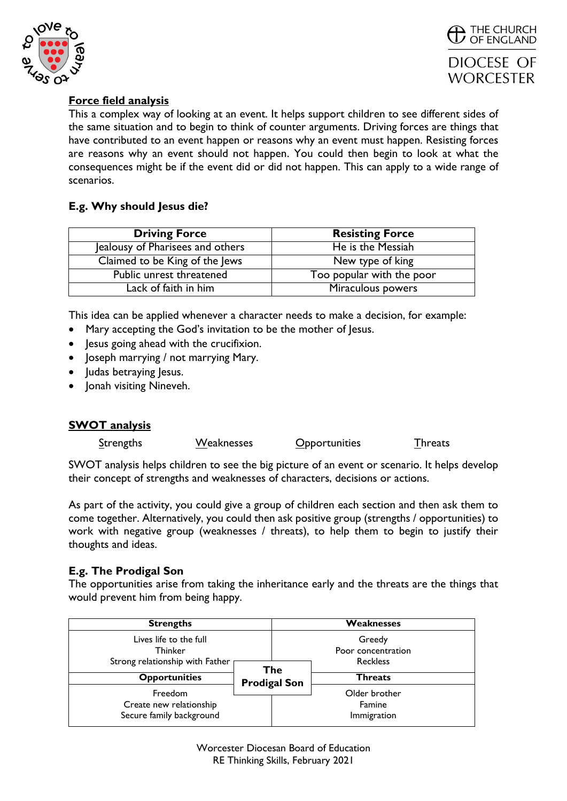



# **Force field analysis**

This a complex way of looking at an event. It helps support children to see different sides of the same situation and to begin to think of counter arguments. Driving forces are things that have contributed to an event happen or reasons why an event must happen. Resisting forces are reasons why an event should not happen. You could then begin to look at what the consequences might be if the event did or did not happen. This can apply to a wide range of scenarios.

### **E.g. Why should Jesus die?**

| <b>Driving Force</b>             | <b>Resisting Force</b>    |
|----------------------------------|---------------------------|
| Jealousy of Pharisees and others | He is the Messiah         |
| Claimed to be King of the Jews   | New type of king          |
| Public unrest threatened         | Too popular with the poor |
| Lack of faith in him             | Miraculous powers         |

This idea can be applied whenever a character needs to make a decision, for example:

- Mary accepting the God's invitation to be the mother of Jesus.
- Jesus going ahead with the crucifixion.
- Joseph marrying / not marrying Mary.
- Judas betraying Jesus.
- Jonah visiting Nineveh.

#### **SWOT analysis**

| <b>Strengths</b> | Weaknesses | <b>Opportunities</b> | <b>Threats</b> |
|------------------|------------|----------------------|----------------|
|                  |            |                      |                |

SWOT analysis helps children to see the big picture of an event or scenario. It helps develop their concept of strengths and weaknesses of characters, decisions or actions.

As part of the activity, you could give a group of children each section and then ask them to come together. Alternatively, you could then ask positive group (strengths / opportunities) to work with negative group (weaknesses / threats), to help them to begin to justify their thoughts and ideas.

#### **E.g. The Prodigal Son**

The opportunities arise from taking the inheritance early and the threats are the things that would prevent him from being happy.

| <b>Strengths</b>                                                            | Weaknesses |                                                        |                                        |  |
|-----------------------------------------------------------------------------|------------|--------------------------------------------------------|----------------------------------------|--|
| Lives life to the full<br><b>Thinker</b><br>Strong relationship with Father |            | Greedy<br>Poor concentration<br><b>Reckless</b><br>The |                                        |  |
| <b>Opportunities</b>                                                        |            | <b>Prodigal Son</b>                                    | <b>Threats</b>                         |  |
| Freedom<br>Create new relationship<br>Secure family background              |            |                                                        | Older brother<br>Famine<br>Immigration |  |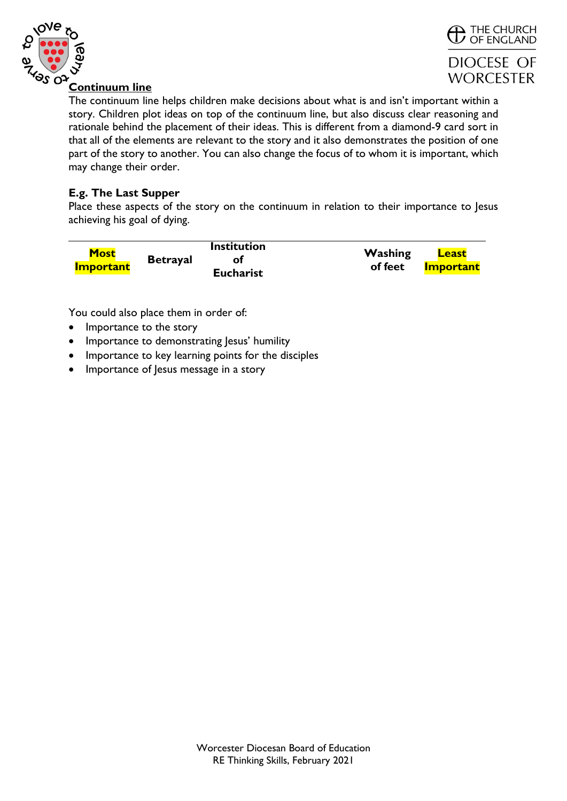



#### **Continuum line**

The continuum line helps children make decisions about what is and isn't important within a story. Children plot ideas on top of the continuum line, but also discuss clear reasoning and rationale behind the placement of their ideas. This is different from a diamond-9 card sort in that all of the elements are relevant to the story and it also demonstrates the position of one part of the story to another. You can also change the focus of to whom it is important, which may change their order.

#### **E.g. The Last Supper**

Place these aspects of the story on the continuum in relation to their importance to Jesus achieving his goal of dying.

| <b>Most</b>      |                 | <b>Institution</b> | Washing | <b>Least</b>     |  |
|------------------|-----------------|--------------------|---------|------------------|--|
| <b>Important</b> | <b>Betrayal</b> | <b>Eucharist</b>   | of feet | <b>Important</b> |  |

You could also place them in order of:

- Importance to the story
- Importance to demonstrating Jesus' humility
- Importance to key learning points for the disciples
- Importance of Jesus message in a story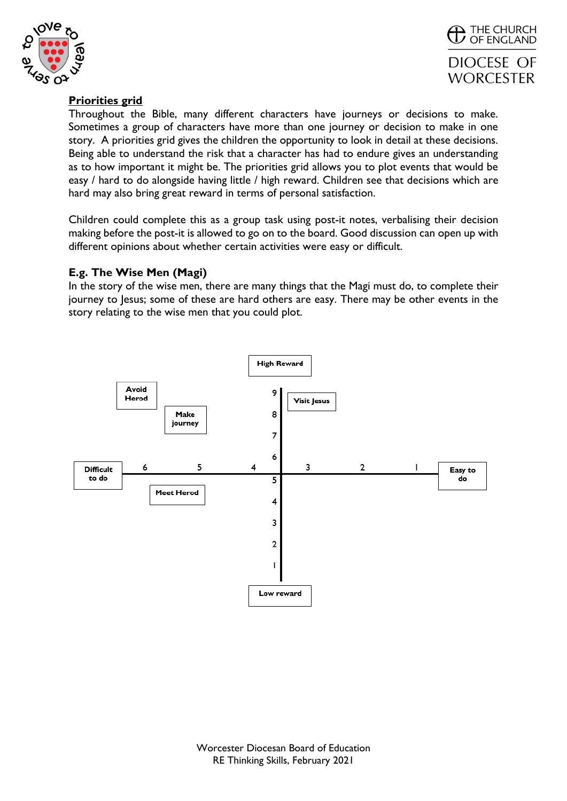



# **Priorities grid**

Throughout the Bible, many different characters have journeys or decisions to make. Sometimes a group of characters have more than one journey or decision to make in one story. A priorities grid gives the children the opportunity to look in detail at these decisions. Being able to understand the risk that a character has had to endure gives an understanding as to how important it might be. The priorities grid allows you to plot events that would be easy / hard to do alongside having little / high reward. Children see that decisions which are hard may also bring great reward in terms of personal satisfaction.

Children could complete this as a group task using post-it notes, verbalising their decision making before the post-it is allowed to go on to the board. Good discussion can open up with different opinions about whether certain activities were easy or difficult.

#### **E.g. The Wise Men (Magi)**

In the story of the wise men, there are many things that the Magi must do, to complete their journey to Jesus; some of these are hard others are easy. There may be other events in the story relating to the wise men that you could plot.

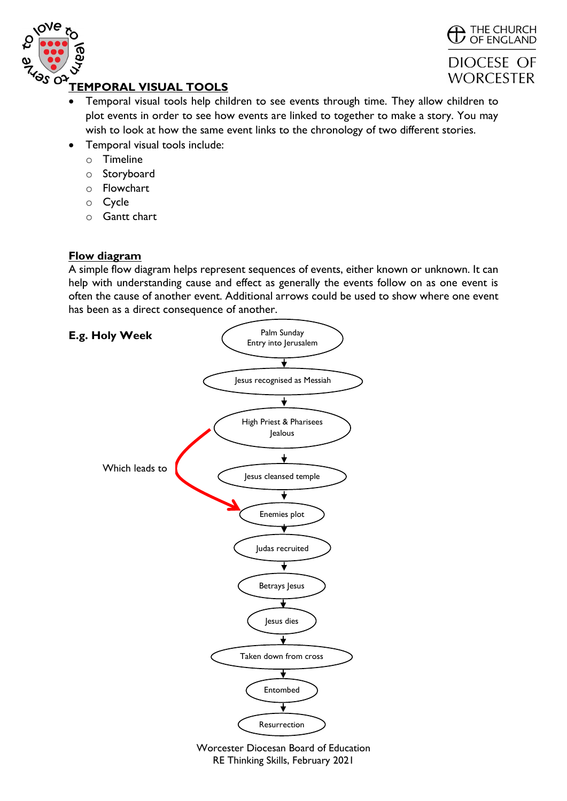



# **TEMPORAL VISUAL TOOLS**

- Temporal visual tools help children to see events through time. They allow children to plot events in order to see how events are linked to together to make a story. You may wish to look at how the same event links to the chronology of two different stories.
- Temporal visual tools include:
	- o Timeline
	- o Storyboard
	- o Flowchart
	- o Cycle
	- o Gantt chart

#### **Flow diagram**

A simple flow diagram helps represent sequences of events, either known or unknown. It can help with understanding cause and effect as generally the events follow on as one event is often the cause of another event. Additional arrows could be used to show where one event has been as a direct consequence of another.



RE Thinking Skills, February 2021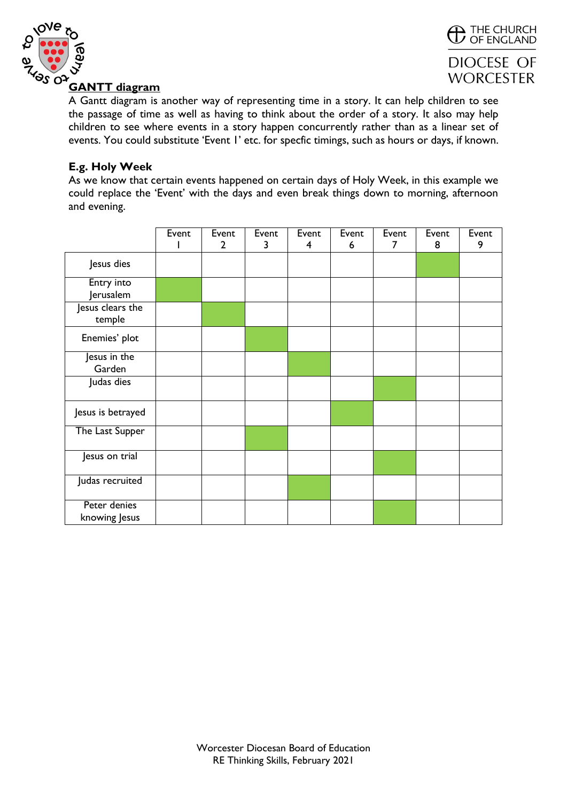



#### **GANTT diagram**

A Gantt diagram is another way of representing time in a story. It can help children to see the passage of time as well as having to think about the order of a story. It also may help children to see where events in a story happen concurrently rather than as a linear set of events. You could substitute 'Event 1' etc. for specfic timings, such as hours or days, if known.

#### **E.g. Holy Week**

As we know that certain events happened on certain days of Holy Week, in this example we could replace the 'Event' with the days and even break things down to morning, afternoon and evening.

|                               | Event | Event          | Event | Event | Event | Event | Event | Event |
|-------------------------------|-------|----------------|-------|-------|-------|-------|-------|-------|
|                               |       | $\overline{2}$ | 3     | 4     | 6     | 7     | 8     | 9     |
| Jesus dies                    |       |                |       |       |       |       |       |       |
| Entry into<br>Jerusalem       |       |                |       |       |       |       |       |       |
| Jesus clears the<br>temple    |       |                |       |       |       |       |       |       |
| Enemies' plot                 |       |                |       |       |       |       |       |       |
| Jesus in the<br>Garden        |       |                |       |       |       |       |       |       |
| Judas dies                    |       |                |       |       |       |       |       |       |
| Jesus is betrayed             |       |                |       |       |       |       |       |       |
| The Last Supper               |       |                |       |       |       |       |       |       |
| Jesus on trial                |       |                |       |       |       |       |       |       |
| Judas recruited               |       |                |       |       |       |       |       |       |
| Peter denies<br>knowing Jesus |       |                |       |       |       |       |       |       |